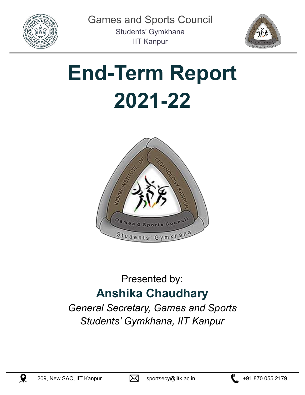



# **End-Term Report 2021-22**



### Presented by: **Anshika Chaudhary**

*General Secretary, Games and Sports Students' Gymkhana, IIT Kanpur*





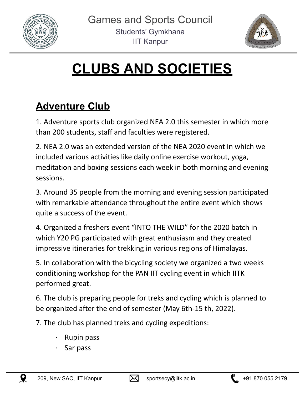



## **CLUBS AND SOCIETIES**

### **Adventure Club**

1. Adventure sports club organized NEA 2.0 this semester in which more than 200 students, staff and faculties were registered.

2. NEA 2.0 was an extended version of the NEA 2020 event in which we included various activities like daily online exercise workout, yoga, meditation and boxing sessions each week in both morning and evening sessions.

3. Around 35 people from the morning and evening session participated with remarkable attendance throughout the entire event which shows quite a success of the event.

4. Organized a freshers event "INTO THE WILD" for the 2020 batch in which Y20 PG participated with great enthusiasm and they created impressive itineraries for trekking in various regions of Himalayas.

5. In collaboration with the bicycling society we organized a two weeks conditioning workshop for the PAN IIT cycling event in which IITK performed great.

6. The club is preparing people for treks and cycling which is planned to be organized after the end of semester (May 6th-15 th, 2022).

7. The club has planned treks and cycling expeditions:

- **Rupin pass**
- · Sar pass





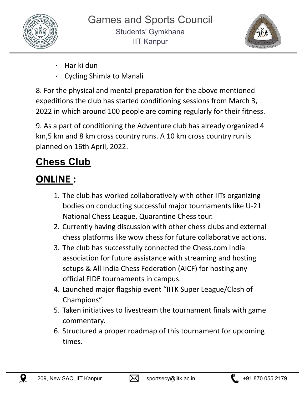



- · Har ki dun
- · Cycling Shimla to Manali

8. For the physical and mental preparation for the above mentioned expeditions the club has started conditioning sessions from March 3, 2022 in which around 100 people are coming regularly for their fitness.

9. As a part of conditioning the Adventure club has already organized 4 km,5 km and 8 km cross country runs. A 10 km cross country run is planned on 16th April, 2022.

### **Chess Club**

### **ONLINE :**

- 1. The club has worked collaboratively with other IITs organizing bodies on conducting successful major tournaments like U-21 National Chess League, Quarantine Chess tour.
- 2. Currently having discussion with other chess clubs and external chess platforms like wow chess for future collaborative actions.
- 3. The club has successfully connected the Chess.com India association for future assistance with streaming and hosting setups & All India Chess Federation (AICF) for hosting any official FIDE tournaments in campus.
- 4. Launched major flagship event "IITK Super League/Clash of Champions"
- 5. Taken initiatives to livestream the tournament finals with game commentary.
- 6. Structured a proper roadmap of this tournament for upcoming times.





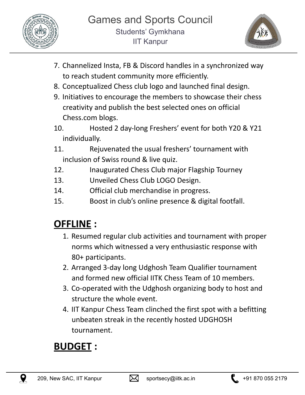



- 7. Channelized Insta, FB & Discord handles in a synchronized way to reach student community more efficiently.
- 8. Conceptualized Chess club logo and launched final design.
- 9. Initiatives to encourage the members to showcase their chess creativity and publish the best selected ones on official Chess.com blogs.
- 10. Hosted 2 day-long Freshers' event for both Y20 & Y21 individually.
- 11. Rejuvenated the usual freshers' tournament with inclusion of Swiss round & live quiz.
- 12. Inaugurated Chess Club major Flagship Tourney
- 13. Unveiled Chess Club LOGO Design.
- 14. Official club merchandise in progress.
- 15. Boost in club's online presence & digital footfall.

### **OFFLINE :**

- 1. Resumed regular club activities and tournament with proper norms which witnessed a very enthusiastic response with 80+ participants.
- 2. Arranged 3-day long Udghosh Team Qualifier tournament and formed new official IITK Chess Team of 10 members.
- 3. Co-operated with the Udghosh organizing body to host and structure the whole event.
- 4. IIT Kanpur Chess Team clinched the first spot with a befitting unbeaten streak in the recently hosted UDGHOSH tournament.

### **BUDGET :**



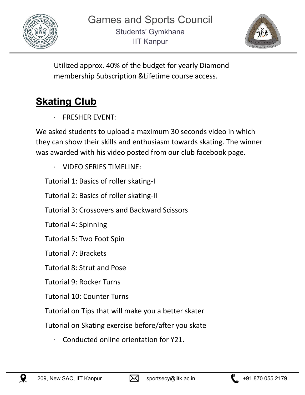



Utilized approx. 40% of the budget for yearly Diamond membership Subscription &Lifetime course access.

### **Skating Club**

FRESHER EVENT:

We asked students to upload a maximum 30 seconds video in which they can show their skills and enthusiasm towards skating. The winner was awarded with his video posted from our club facebook page.

· VIDEO SERIES TIMELINE:

Tutorial 1: Basics of roller skating-I

Tutorial 2: Basics of roller skating-II

Tutorial 3: Crossovers and Backward Scissors

Tutorial 4: Spinning

Tutorial 5: Two Foot Spin

Tutorial 7: Brackets

Tutorial 8: Strut and Pose

Tutorial 9: Rocker Turns

Tutorial 10: Counter Turns

Tutorial on Tips that will make you a better skater

Tutorial on Skating exercise before/after you skate

· Conducted online orientation for Y21.





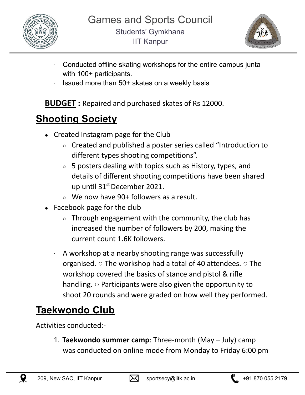



- Conducted offline skating workshops for the entire campus junta with 100+ participants.
- Issued more than 50+ skates on a weekly basis

**BUDGET :** Repaired and purchased skates of Rs 12000.

### **Shooting Society**

- Created Instagram page for the Club
	- Created and published a poster series called "Introduction to different types shooting competitions".
	- $\circ$  5 posters dealing with topics such as History, types, and details of different shooting competitions have been shared up until 31<sup>st</sup> December 2021.
	- $\circ$  We now have 90+ followers as a result.
- Facebook page for the club
	- $\circ$  Through engagement with the community, the club has increased the number of followers by 200, making the current count 1.6K followers.
	- · A workshop at a nearby shooting range was successfully organised.  $\circ$  The workshop had a total of 40 attendees.  $\circ$  The workshop covered the basics of stance and pistol & rifle handling. ○ Participants were also given the opportunity to shoot 20 rounds and were graded on how well they performed.

### **Taekwondo Club**

Activities conducted:-

1. **Taekwondo summer camp**: Three-month (May – July) camp was conducted on online mode from Monday to Friday 6:00 pm





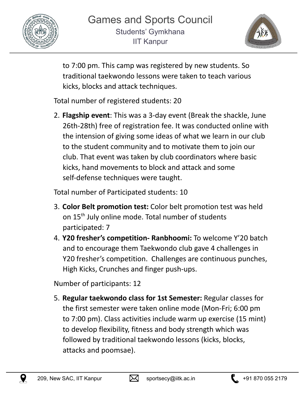



to 7:00 pm. This camp was registered by new students. So traditional taekwondo lessons were taken to teach various kicks, blocks and attack techniques.

Total number of registered students: 20

2. **Flagship event**: This was a 3-day event (Break the shackle, June 26th-28th) free of registration fee. It was conducted online with the intension of giving some ideas of what we learn in our club to the student community and to motivate them to join our club. That event was taken by club coordinators where basic kicks, hand movements to block and attack and some self-defense techniques were taught.

Total number of Participated students: 10

- 3. **Color Belt promotion test:** Color belt promotion test was held on 15<sup>th</sup> July online mode. Total number of students participated: 7
- 4. **Y20 fresher's competition- Ranbhoomi:** To welcome Y'20 batch and to encourage them Taekwondo club gave 4 challenges in Y20 fresher's competition. Challenges are continuous punches, High Kicks, Crunches and finger push-ups.

Number of participants: 12

5. **Regular taekwondo class for 1st Semester:** Regular classes for the first semester were taken online mode (Mon-Fri; 6:00 pm to 7:00 pm). Class activities include warm up exercise (15 mint) to develop flexibility, fitness and body strength which was followed by traditional taekwondo lessons (kicks, blocks, attacks and poomsae).



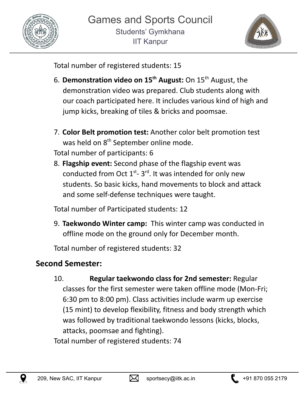



Total number of registered students: 15

- 6. **Demonstration video on 15 th August:** On 15 th August, the demonstration video was prepared. Club students along with our coach participated here. It includes various kind of high and jump kicks, breaking of tiles & bricks and poomsae.
- 7. **Color Belt promotion test:** Another color belt promotion test was held on 8<sup>th</sup> September online mode.

Total number of participants: 6

8. **Flagship event:** Second phase of the flagship event was conducted from Oct  $1^{st}$ - 3<sup>rd</sup>. It was intended for only new students. So basic kicks, hand movements to block and attack and some self-defense techniques were taught.

Total number of Participated students: 12

9. **Taekwondo Winter camp:** This winter camp was conducted in offline mode on the ground only for December month.

Total number of registered students: 32

#### **Second Semester:**

10. **Regular taekwondo class for 2nd semester:** Regular classes for the first semester were taken offline mode (Mon-Fri; 6:30 pm to 8:00 pm). Class activities include warm up exercise (15 mint) to develop flexibility, fitness and body strength which was followed by traditional taekwondo lessons (kicks, blocks, attacks, poomsae and fighting). Total number of registered students: 74



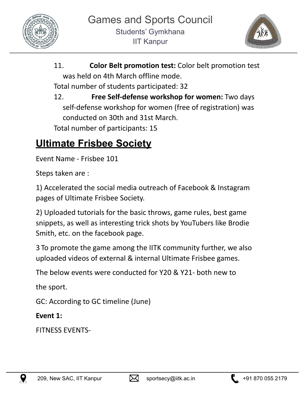



- 11. **Color Belt promotion test:** Color belt promotion test was held on 4th March offline mode. Total number of students participated: 32
- 12. **Free Self-defense workshop for women:** Two days self-defense workshop for women (free of registration) was conducted on 30th and 31st March. Total number of participants: 15

### **Ultimate Frisbee Society**

Event Name - Frisbee 101

Steps taken are :

1) Accelerated the social media outreach of Facebook & Instagram pages of Ultimate Frisbee Society.

2) Uploaded tutorials for the basic throws, game rules, best game snippets, as well as interesting trick shots by YouTubers like Brodie Smith, etc. on the facebook page.

3 To promote the game among the IITK community further, we also uploaded videos of external & internal Ultimate Frisbee games.

The below events were conducted for Y20 & Y21- both new to

the sport.

GC: According to GC timeline (June)

**Event 1:**

FITNESS EVENTS-





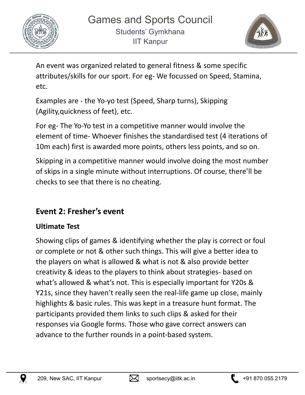



An event was organized related to general fitness & some specific attributes/skills for our sport. For eg- We focussed on Speed, Stamina, etc.

Examples are - the Yo-yo test (Speed, Sharp turns), Skipping (Agility,quickness of feet), etc.

For eg- The Yo-Yo test in a competitive manner would involve the element of time- Whoever finishes the standardised test (4 iterations of 10m each) first is awarded more points, others less points, and so on.

Skipping in a competitive manner would involve doing the most number of skips in a single minute without interruptions. Of course, there'll be checks to see that there is no cheating.

#### **Event 2: Fresher's event**

#### **Ultimate Test**

Showing clips of games & identifying whether the play is correct or foul or complete or not & other such things. This will give a better idea to the players on what is allowed & what is not & also provide better creativity & ideas to the players to think about strategies- based on what's allowed & what's not. This is especially important for Y20s & Y21s, since they haven't really seen the real-life game up close, mainly highlights & basic rules. This was kept in a treasure hunt format. The participants provided them links to such clips & asked for their responses via Google forms. Those who gave correct answers can advance to the further rounds in a point-based system.





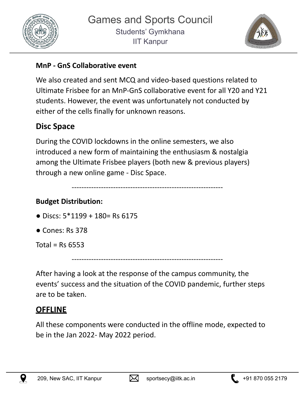



#### **MnP - GnS Collaborative event**

We also created and sent MCQ and video-based questions related to Ultimate Frisbee for an MnP-GnS collaborative event for all Y20 and Y21 students. However, the event was unfortunately not conducted by either of the cells finally for unknown reasons.

#### **Disc Space**

During the COVID lockdowns in the online semesters, we also introduced a new form of maintaining the enthusiasm & nostalgia among the Ultimate Frisbee players (both new & previous players) through a new online game - Disc Space.

--------------------------------------------------------------

#### **Budget Distribution:**

- $\bullet$  Discs:  $5*1199 + 180 =$  Rs 6175
- Cones: Rs 378

Total =  $Rs$  6553

--------------------------------------------------------------

After having a look at the response of the campus community, the events' success and the situation of the COVID pandemic, further steps are to be taken.

#### **OFFLINE**

All these components were conducted in the offline mode, expected to be in the Jan 2022- May 2022 period.





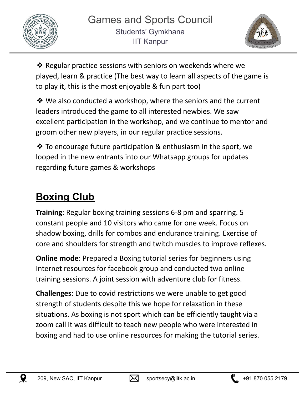



❖ Regular practice sessions with seniors on weekends where we played, learn & practice (The best way to learn all aspects of the game is to play it, this is the most enjoyable & fun part too)

❖ We also conducted a workshop, where the seniors and the current leaders introduced the game to all interested newbies. We saw excellent participation in the workshop, and we continue to mentor and groom other new players, in our regular practice sessions.

❖ To encourage future participation & enthusiasm in the sport, we looped in the new entrants into our Whatsapp groups for updates regarding future games & workshops

### **Boxing Club**

**Training**: Regular boxing training sessions 6-8 pm and sparring. 5 constant people and 10 visitors who came for one week. Focus on shadow boxing, drills for combos and endurance training. Exercise of core and shoulders for strength and twitch muscles to improve reflexes.

**Online mode**: Prepared a Boxing tutorial series for beginners using Internet resources for facebook group and conducted two online training sessions. A joint session with adventure club for fitness.

**Challenges**: Due to covid restrictions we were unable to get good strength of students despite this we hope for relaxation in these situations. As boxing is not sport which can be efficiently taught via a zoom call it was difficult to teach new people who were interested in boxing and had to use online resources for making the tutorial series.





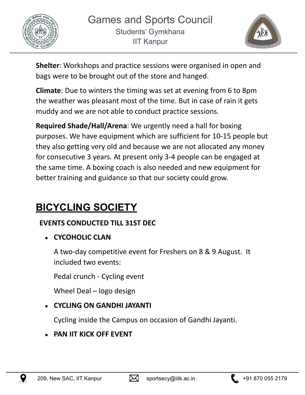



**Shelter**: Workshops and practice sessions were organised in open and bags were to be brought out of the store and hanged.

**Climate**: Due to winters the timing was set at evening from 6 to 8pm the weather was pleasant most of the time. But in case of rain it gets muddy and we are not able to conduct practice sessions.

**Required Shade/Hall/Arena**: We urgently need a hall for boxing purposes. We have equipment which are sufficient for 10-15 people but they also getting very old and because we are not allocated any money for consecutive 3 years. At present only 3-4 people can be engaged at the same time. A boxing coach is also needed and new equipment for better training and guidance so that our society could grow.

### **BICYCLING SOCIETY**

#### **EVENTS CONDUCTED TILL 31ST DEC**

● **CYCOHOLIC CLAN**

A two-day competitive event for Freshers on 8 & 9 August. It included two events:

Pedal crunch - Cycling event

Wheel Deal – logo design

#### ● **CYCLING ON GANDHI JAYANTI**

Cycling inside the Campus on occasion of Gandhi Jayanti.

● **PAN IIT KICK OFF EVENT**





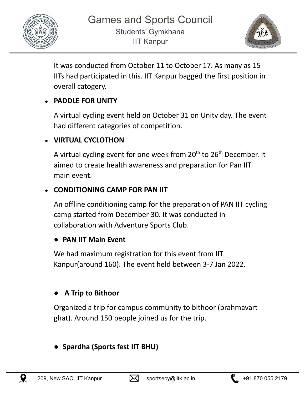



It was conducted from October 11 to October 17. As many as 15 IITs had participated in this. IIT Kanpur bagged the first position in overall catogery.

#### ● **PADDLE FOR UNITY**

A virtual cycling event held on October 31 on Unity day. The event had different categories of competition.

#### ● **VIRTUAL CYCLOTHON**

A virtual cycling event for one week from 20<sup>th</sup> to 26<sup>th</sup> December. It aimed to create health awareness and preparation for Pan IIT main event.

#### ● **CONDITIONING CAMP FOR PAN IIT**

An offline conditioning camp for the preparation of PAN IIT cycling camp started from December 30. It was conducted in collaboration with Adventure Sports Club.

#### ● **PAN IIT Main Event**

We had maximum registration for this event from IIT Kanpur(around 160). The event held between 3-7 Jan 2022.

#### ● **A Trip to Bithoor**

Organized a trip for campus community to bithoor (brahmavart ghat). Around 150 people joined us for the trip.

#### ● **Spardha (Sports fest IIT BHU)**



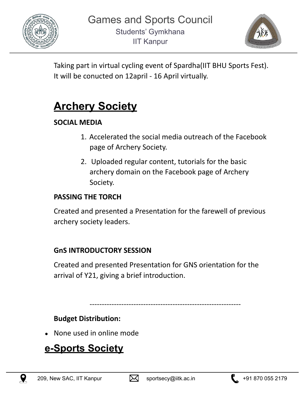



Taking part in virtual cycling event of Spardha(IIT BHU Sports Fest). It will be conucted on 12april - 16 April virtually.

### **Archery Society**

#### **SOCIAL MEDIA**

- 1. Accelerated the social media outreach of the Facebook page of Archery Society.
- 2. Uploaded regular content, tutorials for the basic archery domain on the Facebook page of Archery Society.

#### **PASSING THE TORCH**

Created and presented a Presentation for the farewell of previous archery society leaders.

#### **GnS INTRODUCTORY SESSION**

Created and presented Presentation for GNS orientation for the arrival of Y21, giving a brief introduction.

--------------------------------------------------------------

**Budget Distribution:**

None used in online mode

### **e-Sports Society**





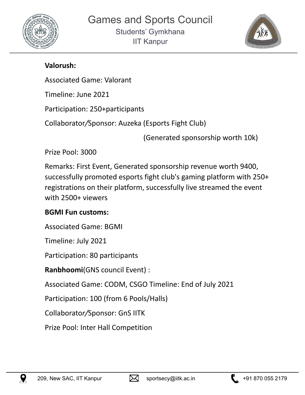



#### **Valorush:**

Associated Game: Valorant

Timeline: June 2021

Participation: 250+participants

Collaborator*/*Sponsor: Auzeka (Esports Fight Club)

(Generated sponsorship worth 10k)

Prize Pool: 3000

Remarks: First Event, Generated sponsorship revenue worth 9400, successfully promoted esports fight club's gaming platform with 250+ registrations on their platform, successfully live streamed the event with 2500+ viewers

#### **BGMI Fun customs:**

Associated Game: BGMI

Timeline: July 2021

Participation: 80 participants

**Ranbhoomi**(GNS council Event) :

Associated Game: CODM, CSGO Timeline: End of July 2021

Participation: 100 (from 6 Pools/Halls)

Collaborato*r/*Sponsor: GnS IITK

Prize Pool: Inter Hall Competition



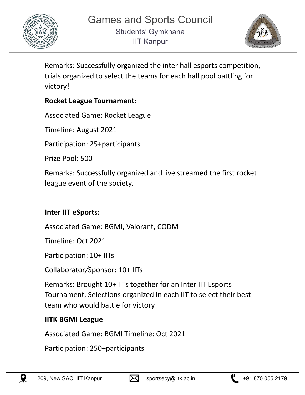



Remarks: Successfully organized the inter hall esports competition, trials organized to select the teams for each hall pool battling for victory!

#### **Rocket League Tournament:**

Associated Game: Rocket League

Timeline: August 2021

Participation: 25+participants

Prize Pool: 500

Remarks: Successfully organized and live streamed the first rocket league event of the society.

#### **Inter IIT eSports:**

Associated Game: BGMI, Valorant, CODM

Timeline: Oct 2021

Participation: 10+ IITs

Collaborator*/*Sponsor: 10+ IITs

Remarks: Brought 10+ IITs together for an Inter IIT Esports Tournament, Selections organized in each IIT to select their best team who would battle for victory

#### **IITK BGMI League**

Associated Game: BGMI Timeline: Oct 2021

Participation: 250+participants



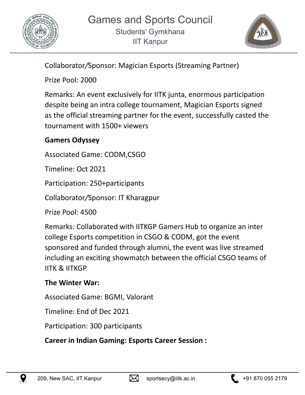



Collaborator*/*Sponsor: Magician Esports (Streaming Partner)

Prize Pool: 2000

Remarks: An event exclusively for IITK junta, enormous participation despite being an intra college tournament, Magician Esports signed as the official streaming partner for the event, successfully casted the tournament with 1500+ viewers

#### **Gamers Odyssey**

Associated Game: CODM,CSGO

Timeline: Oct 2021

Participation: 250+participants

Collaborator*/*Sponsor: IT Kharagpur

Prize Pool: 4500

Remarks: Collaborated with IITKGP Gamers Hub to organize an inter college Esports competition in CSGO & CODM, got the event sponsored and funded through alumni, the event was live streamed including an exciting showmatch between the official CSGO teams of IITK & IITKGP

#### **The Winter War:**

Associated Game: BGMI, Valorant

Timeline: End of Dec 2021

Participation: 300 participants

**Career in Indian Gaming: Esports Career Session :**





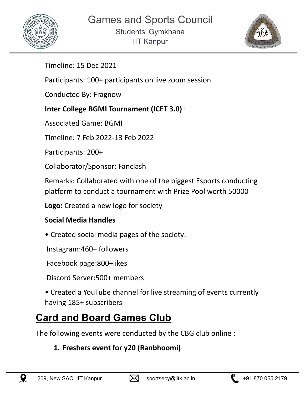



Timeline: 15 Dec *2*021

Participants: 100+ participants on live zoom session

Conducted By: Fragnow

#### **Inter College BGMI Tournament (ICET 3.0)** :

Associated Game: BGMI

Timeline: 7 Feb 2022-13 Feb 2022

Participants: 200+

Collaborator/Sponsor: Fanclash

Remarks: Collaborated with one of the biggest Esports conducting platform to conduct a tournament with Prize Pool worth 50000

**Logo:** Created a new logo for society

#### **Social Media Handles**

• Created social media pages of the society:

Instagram:460+ followers

Facebook page:800+likes

Discord Server:500+ members

• Created a YouTube channel for live streaming of events currently having 185+ subscribers

### **Card and Board Games Club**

The following events were conducted by the CBG club online :

#### **1. Freshers event for y20 (Ranbhoomi)**



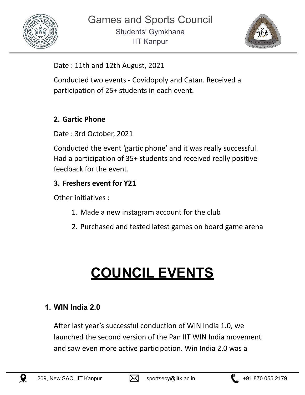



Date : 11th and 12th August, 2021

Conducted two events - Covidopoly and Catan. Received a participation of 25+ students in each event.

#### **2. Gartic Phone**

Date : 3rd October, 2021

Conducted the event 'gartic phone' and it was really successful. Had a participation of 35+ students and received really positive feedback for the event.

#### **3. Freshers event for Y21**

Other initiatives :

- 1. Made a new instagram account for the club
- 2. Purchased and tested latest games on board game arena

## **COUNCIL EVENTS**

#### **1. WIN India 2.0**

After last year's successful conduction of WIN India 1.0, we launched the second version of the Pan IIT WIN India movement and saw even more active participation. Win India 2.0 was a



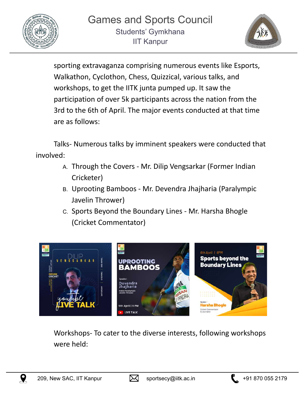



sporting extravaganza comprising numerous events like Esports, Walkathon, Cyclothon, Chess, Quizzical, various talks, and workshops, to get the IITK junta pumped up. It saw the participation of over 5k participants across the nation from the 3rd to the 6th of April. The major events conducted at that time are as follows:

Talks- Numerous talks by imminent speakers were conducted that involved:

- A. Through the Covers Mr. Dilip Vengsarkar (Former Indian Cricketer)
- B. Uprooting Bamboos Mr. Devendra Jhajharia (Paralympic Javelin Thrower)
- C. Sports Beyond the Boundary Lines Mr. Harsha Bhogle (Cricket Commentator)



Workshops- To cater to the diverse interests, following workshops were held:



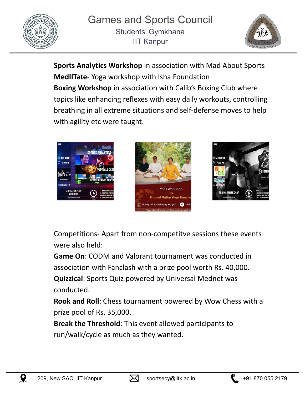



**Sports Analytics Workshop** in association with Mad About Sports **MedIITate**- Yoga workshop with Isha Foundation **Boxing Workshop** in association with Calib's Boxing Club where topics like enhancing reflexes with easy daily workouts, controlling breathing in all extreme situations and self-defense moves to help with agility etc were taught.







Competitions- Apart from non-competitve sessions these events were also held:

**Game On**: CODM and Valorant tournament was conducted in association with Fanclash with a prize pool worth Rs. 40,000. **Quizzical**: Sports Quiz powered by Universal Mednet was

conducted. **Rook and Roll**: Chess tournament powered by Wow Chess with a prize pool of Rs. 35,000.

**Break the Threshold**: This event allowed participants to run/walk/cycle as much as they wanted.





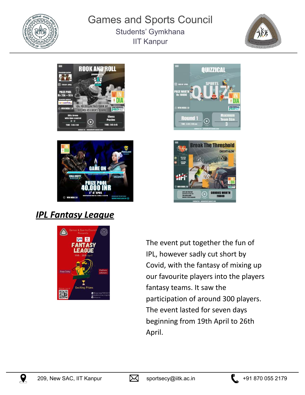

#### Games and Sports Council Students' Gymkhana IIT Kanpur











### *IPL Fantasy League*



The event put together the fun of IPL, however sadly cut short by Covid, with the fantasy of mixing up our favourite players into the players fantasy teams. It saw the participation of around 300 players. The event lasted for seven days beginning from 19th April to 26th April.





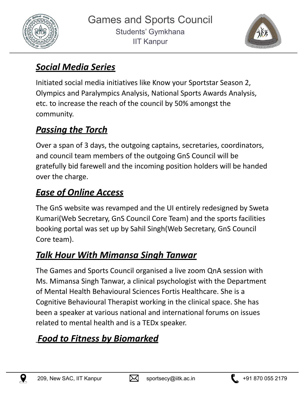



### *Social Media Series*

Initiated social media initiatives like Know your Sportstar Season 2, Olympics and Paralympics Analysis, National Sports Awards Analysis, etc. to increase the reach of the council by 50% amongst the community.

### *Passing the Torch*

Over a span of 3 days, the outgoing captains, secretaries, coordinators, and council team members of the outgoing GnS Council will be gratefully bid farewell and the incoming position holders will be handed over the charge.

### *Ease of Online Access*

The GnS website was revamped and the UI entirely redesigned by Sweta Kumari(Web Secretary, GnS Council Core Team) and the sports facilities booking portal was set up by Sahil Singh(Web Secretary, GnS Council Core team).

### *Talk Hour With Mimansa Singh Tanwar*

The Games and Sports Council organised a live zoom QnA session with Ms. Mimansa Singh Tanwar, a clinical psychologist with the Department of Mental Health Behavioural Sciences Fortis Healthcare. She is a Cognitive Behavioural Therapist working in the clinical space. She has been a speaker at various national and international forums on issues related to mental health and is a TEDx speaker.

### *Food to Fitness by Biomarked*



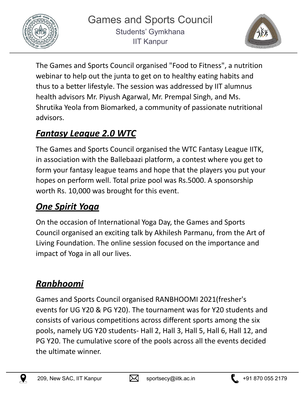



The Games and Sports Council organised "Food to Fitness", a nutrition webinar to help out the junta to get on to healthy eating habits and thus to a better lifestyle. The session was addressed by IIT alumnus health advisors Mr. Piyush Agarwal, Mr. Prempal Singh, and Ms. Shrutika Yeola from Biomarked, a community of passionate nutritional advisors.

### *Fantasy League 2.0 WTC*

The Games and Sports Council organised the WTC Fantasy League IITK, in association with the Ballebaazi platform, a contest where you get to form your fantasy league teams and hope that the players you put your hopes on perform well. Total prize pool was Rs.5000. A sponsorship worth Rs. 10,000 was brought for this event.

### *One Spirit Yoga*

On the occasion of International Yoga Day, the Games and Sports Council organised an exciting talk by Akhilesh Parmanu, from the Art of Living Foundation. The online session focused on the importance and impact of Yoga in all our lives.

### *Ranbhoomi*

Games and Sports Council organised RANBHOOMI 2021(fresher's events for UG Y20 & PG Y20). The tournament was for Y20 students and consists of various competitions across different sports among the six pools, namely UG Y20 students- Hall 2, Hall 3, Hall 5, Hall 6, Hall 12, and PG Y20. The cumulative score of the pools across all the events decided the ultimate winner.





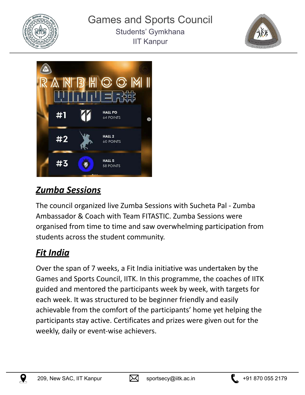





### *Zumba Sessions*

The council organized live Zumba Sessions with Sucheta Pal - Zumba Ambassador & Coach with Team FITASTIC. Zumba Sessions were organised from time to time and saw overwhelming participation from students across the student community.

### *Fit India*

Over the span of 7 weeks, a Fit India initiative was undertaken by the Games and Sports Council, IITK. In this programme, the coaches of IITK guided and mentored the participants week by week, with targets for each week. It was structured to be beginner friendly and easily achievable from the comfort of the participants' home yet helping the participants stay active. Certificates and prizes were given out for the weekly, daily or event-wise achievers.





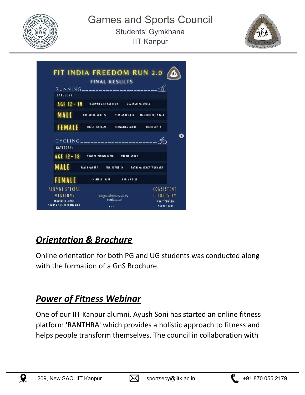





### *Orientation & Brochure*

Online orientation for both PG and UG students was conducted along with the formation of a GnS Brochure.

### *Power of Fitness Webinar*

One of our IIT Kanpur alumni, Ayush Soni has started an online fitness platform 'RANTHRA' which provides a holistic approach to fitness and helps people transform themselves. The council in collaboration with



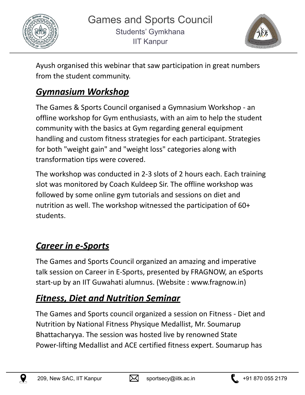



Ayush organised this webinar that saw participation in great numbers from the student community.

### *Gymnasium Workshop*

The Games & Sports Council organised a Gymnasium Workshop - an offline workshop for Gym enthusiasts, with an aim to help the student community with the basics at Gym regarding general equipment handling and custom fitness strategies for each participant. Strategies for both "weight gain" and "weight loss" categories along with transformation tips were covered.

The workshop was conducted in 2-3 slots of 2 hours each. Each training slot was monitored by Coach Kuldeep Sir. The offline workshop was followed by some online gym tutorials and sessions on diet and nutrition as well. The workshop witnessed the participation of 60+ students.

### *Career in e-Sports*

The Games and Sports Council organized an amazing and imperative talk session on Career in E-Sports, presented by FRAGNOW, an eSports start-up by an IIT Guwahati alumnus. (Website : www.fragnow.in)

### *Fitness, Diet and Nutrition Seminar*

The Games and Sports council organized a session on Fitness - Diet and Nutrition by National Fitness Physique Medallist, Mr. Soumarup Bhattacharyya. The session was hosted live by renowned State Power-lifting Medallist and ACE certified fitness expert. Soumarup has





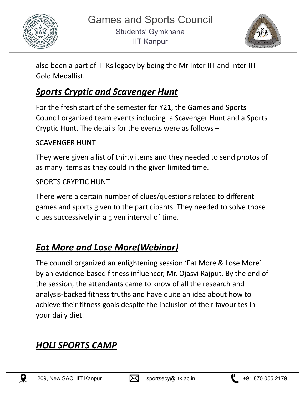



also been a part of IITKs legacy by being the Mr Inter IIT and Inter IIT Gold Medallist.

### *Sports Cryptic and Scavenger Hunt*

For the fresh start of the semester for Y21, the Games and Sports Council organized team events including a Scavenger Hunt and a Sports Cryptic Hunt. The details for the events were as follows –

#### SCAVENGER HUNT

They were given a list of thirty items and they needed to send photos of as many items as they could in the given limited time.

#### SPORTS CRYPTIC HUNT

There were a certain number of clues/questions related to different games and sports given to the participants. They needed to solve those clues successively in a given interval of time.

### *Eat More and Lose More(Webinar)*

The council organized an enlightening session 'Eat More & Lose More' by an evidence-based fitness influencer, Mr. Ojasvi Rajput. By the end of the session, the attendants came to know of all the research and analysis-backed fitness truths and have quite an idea about how to achieve their fitness goals despite the inclusion of their favourites in your daily diet.

### *HOLI SPORTS CAMP*



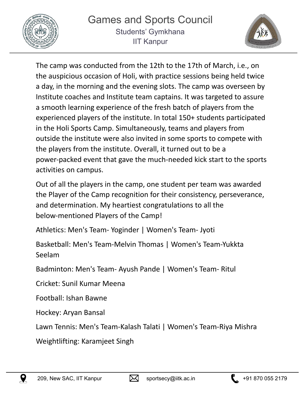



The camp was conducted from the 12th to the 17th of March, i.e., on the auspicious occasion of Holi, with practice sessions being held twice a day, in the morning and the evening slots. The camp was overseen by Institute coaches and Institute team captains. It was targeted to assure a smooth learning experience of the fresh batch of players from the experienced players of the institute. In total 150+ students participated in the Holi Sports Camp. Simultaneously, teams and players from outside the institute were also invited in some sports to compete with the players from the institute. Overall, it turned out to be a power-packed event that gave the much-needed kick start to the sports activities on campus.

Out of all the players in the camp, one student per team was awarded the Player of the Camp recognition for their consistency, perseverance, and determination. My heartiest congratulations to all the below-mentioned Players of the Camp!

Athletics: Men's Team- Yoginder | Women's Team- Jyoti

Basketball: Men's Team-Melvin Thomas | Women's Team-Yukkta Seelam

Badminton: Men's Team- Ayush Pande | Women's Team- Ritul

Cricket: Sunil Kumar Meena

Football: Ishan Bawne

Hockey: Aryan Bansal

Lawn Tennis: Men's Team-Kalash Talati | Women's Team-Riya Mishra

Weightlifting: Karamjeet Singh



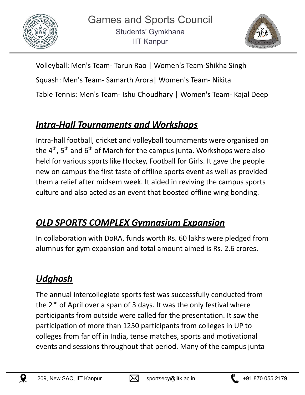



Volleyball: Men's Team- Tarun Rao | Women's Team-Shikha Singh Squash: Men's Team- Samarth Arora| Women's Team- Nikita Table Tennis: Men's Team- Ishu Choudhary | Women's Team- Kajal Deep

### *Intra-Hall Tournaments and Workshops*

Intra-hall football, cricket and volleyball tournaments were organised on the 4<sup>th</sup>, 5<sup>th</sup> and 6<sup>th</sup> of March for the campus junta. Workshops were also held for various sports like Hockey, Football for Girls. It gave the people new on campus the first taste of offline sports event as well as provided them a relief after midsem week. It aided in reviving the campus sports culture and also acted as an event that boosted offline wing bonding.

### *OLD SPORTS COMPLEX Gymnasium Expansion*

In collaboration with DoRA, funds worth Rs. 60 lakhs were pledged from alumnus for gym expansion and total amount aimed is Rs. 2.6 crores.

### *Udghosh*

The annual intercollegiate sports fest was successfully conducted from the 2<sup>nd</sup> of April over a span of 3 days. It was the only festival where participants from outside were called for the presentation. It saw the participation of more than 1250 participants from colleges in UP to colleges from far off in India, tense matches, sports and motivational events and sessions throughout that period. Many of the campus junta





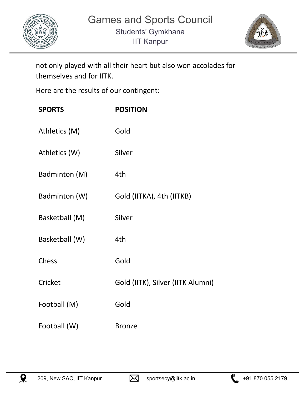



not only played with all their heart but also won accolades for themselves and for IITK.

Here are the results of our contingent:

| <b>SPORTS</b>  | <b>POSITION</b>                   |
|----------------|-----------------------------------|
| Athletics (M)  | Gold                              |
| Athletics (W)  | Silver                            |
| Badminton (M)  | 4th                               |
| Badminton (W)  | Gold (IITKA), 4th (IITKB)         |
| Basketball (M) | Silver                            |
| Basketball (W) | 4th                               |
| Chess          | Gold                              |
| Cricket        | Gold (IITK), Silver (IITK Alumni) |
| Football (M)   | Gold                              |
| Football (W)   | <b>Bronze</b>                     |





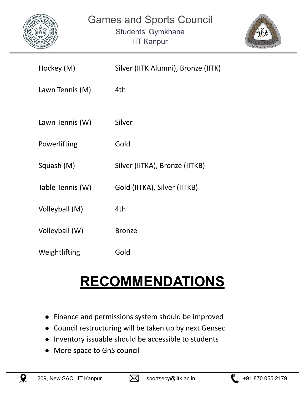



| Hockey (M)       | Silver (IITK Alumni), Bronze (IITK) |
|------------------|-------------------------------------|
| Lawn Tennis (M)  | 4th                                 |
| Lawn Tennis (W)  | Silver                              |
| Powerlifting     | Gold                                |
| Squash (M)       | Silver (IITKA), Bronze (IITKB)      |
| Table Tennis (W) | Gold (IITKA), Silver (IITKB)        |
| Volleyball (M)   | 4th                                 |
| Volleyball (W)   | <b>Bronze</b>                       |
| Weightlifting    | Gold                                |

## **RECOMMENDATIONS**

- Finance and permissions system should be improved
- Council restructuring will be taken up by next Gensec
- Inventory issuable should be accessible to students
- More space to GnS council